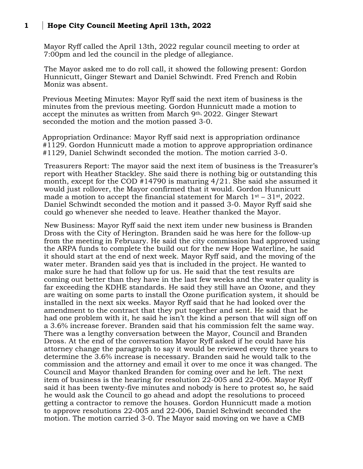## **1 Hope City Council Meeting April 13th, 2022**

Mayor Ryff called the April 13th, 2022 regular council meeting to order at 7:00pm and led the council in the pledge of allegiance.

The Mayor asked me to do roll call, it showed the following present: Gordon Hunnicutt, Ginger Stewart and Daniel Schwindt. Fred French and Robin Moniz was absent.

Previous Meeting Minutes: Mayor Ryff said the next item of business is the minutes from the previous meeting. Gordon Hunnicutt made a motion to accept the minutes as written from March 9th, 2022. Ginger Stewart seconded the motion and the motion passed 3-0.

Appropriation Ordinance: Mayor Ryff said next is appropriation ordinance #1129. Gordon Hunnicutt made a motion to approve appropriation ordinance #1129, Daniel Schwindt seconded the motion. The motion carried 3-0.

Treasurers Report: The mayor said the next item of business is the Treasurer's report with Heather Stackley. She said there is nothing big or outstanding this month, except for the COD #14790 is maturing 4/21. She said she assumed it would just rollover, the Mayor confirmed that it would. Gordon Hunnicutt made a motion to accept the financial statement for March  $1<sup>st</sup> - 31<sup>st</sup>$ , 2022. Daniel Schwindt seconded the motion and it passed 3-0. Mayor Ryff said she could go whenever she needed to leave. Heather thanked the Mayor.

New Business: Mayor Ryff said the next item under new business is Branden Dross with the City of Herington. Branden said he was here for the follow-up from the meeting in February. He said the city commission had approved using the ARPA funds to complete the build out for the new Hope Waterline, he said it should start at the end of next week. Mayor Ryff said, and the moving of the water meter. Branden said yes that is included in the project. He wanted to make sure he had that follow up for us. He said that the test results are coming out better than they have in the last few weeks and the water quality is far exceeding the KDHE standards. He said they still have an Ozone, and they are waiting on some parts to install the Ozone purification system, it should be installed in the next six weeks. Mayor Ryff said that he had looked over the amendment to the contract that they put together and sent. He said that he had one problem with it, he said he isn't the kind a person that will sign off on a 3.6% increase forever. Branden said that his commission felt the same way. There was a lengthy conversation between the Mayor, Council and Branden Dross. At the end of the conversation Mayor Ryff asked if he could have his attorney change the paragraph to say it would be reviewed every three years to determine the 3.6% increase is necessary. Branden said he would talk to the commission and the attorney and email it over to me once it was changed. The Council and Mayor thanked Branden for coming over and he left. The next item of business is the hearing for resolution 22-005 and 22-006. Mayor Ryff said it has been twenty-five minutes and nobody is here to protest so, he said he would ask the Council to go ahead and adopt the resolutions to proceed getting a contractor to remove the houses. Gordon Hunnicutt made a motion to approve resolutions 22-005 and 22-006, Daniel Schwindt seconded the motion. The motion carried 3-0. The Mayor said moving on we have a CMB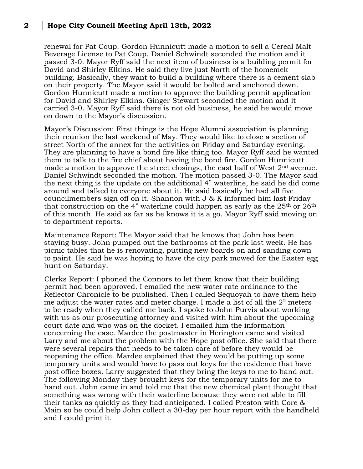## **2 Hope City Council Meeting April 13th, 2022**

renewal for Pat Coup. Gordon Hunnicutt made a motion to sell a Cereal Malt Beverage License to Pat Coup. Daniel Schwindt seconded the motion and it passed 3-0. Mayor Ryff said the next item of business is a building permit for David and Shirley Elkins. He said they live just North of the homemek building. Basically, they want to build a building where there is a cement slab on their property. The Mayor said it would be bolted and anchored down. Gordon Hunnicutt made a motion to approve the building permit application for David and Shirley Elkins. Ginger Stewart seconded the motion and it carried 3-0. Mayor Ryff said there is not old business, he said he would move on down to the Mayor's discussion.

Mayor's Discussion: First things is the Hope Alumni association is planning their reunion the last weekend of May. They would like to close a section of street North of the annex for the activities on Friday and Saturday evening. They are planning to have a bond fire like thing too. Mayor Ryff said he wanted them to talk to the fire chief about having the bond fire. Gordon Hunnicutt made a motion to approve the street closings, the east half of West 2nd avenue. Daniel Schwindt seconded the motion. The motion passed 3-0. The Mayor said the next thing is the update on the additional 4" waterline, he said he did come around and talked to everyone about it. He said basically he had all five councilmembers sign off on it. Shannon with J & K informed him last Friday that construction on the 4" waterline could happen as early as the  $25<sup>th</sup>$  or  $26<sup>th</sup>$ of this month. He said as far as he knows it is a go. Mayor Ryff said moving on to department reports.

Maintenance Report: The Mayor said that he knows that John has been staying busy. John pumped out the bathrooms at the park last week. He has picnic tables that he is renovating, putting new boards on and sanding down to paint. He said he was hoping to have the city park mowed for the Easter egg hunt on Saturday.

Clerks Report: I phoned the Connors to let them know that their building permit had been approved. I emailed the new water rate ordinance to the Reflector Chronicle to be published. Then I called Sequoyah to have them help me adjust the water rates and meter charge. I made a list of all the 2" meters to be ready when they called me back. I spoke to John Purvis about working with us as our prosecuting attorney and visited with him about the upcoming court date and who was on the docket. I emailed him the information concerning the case. Mardee the postmaster in Herington came and visited Larry and me about the problem with the Hope post office. She said that there were several repairs that needs to be taken care of before they would be reopening the office. Mardee explained that they would be putting up some temporary units and would have to pass out keys for the residence that have post office boxes. Larry suggested that they bring the keys to me to hand out. The following Monday they brought keys for the temporary units for me to hand out. John came in and told me that the new chemical plant thought that something was wrong with their waterline because they were not able to fill their tanks as quickly as they had anticipated. I called Preston with Core & Main so he could help John collect a 30-day per hour report with the handheld and I could print it.